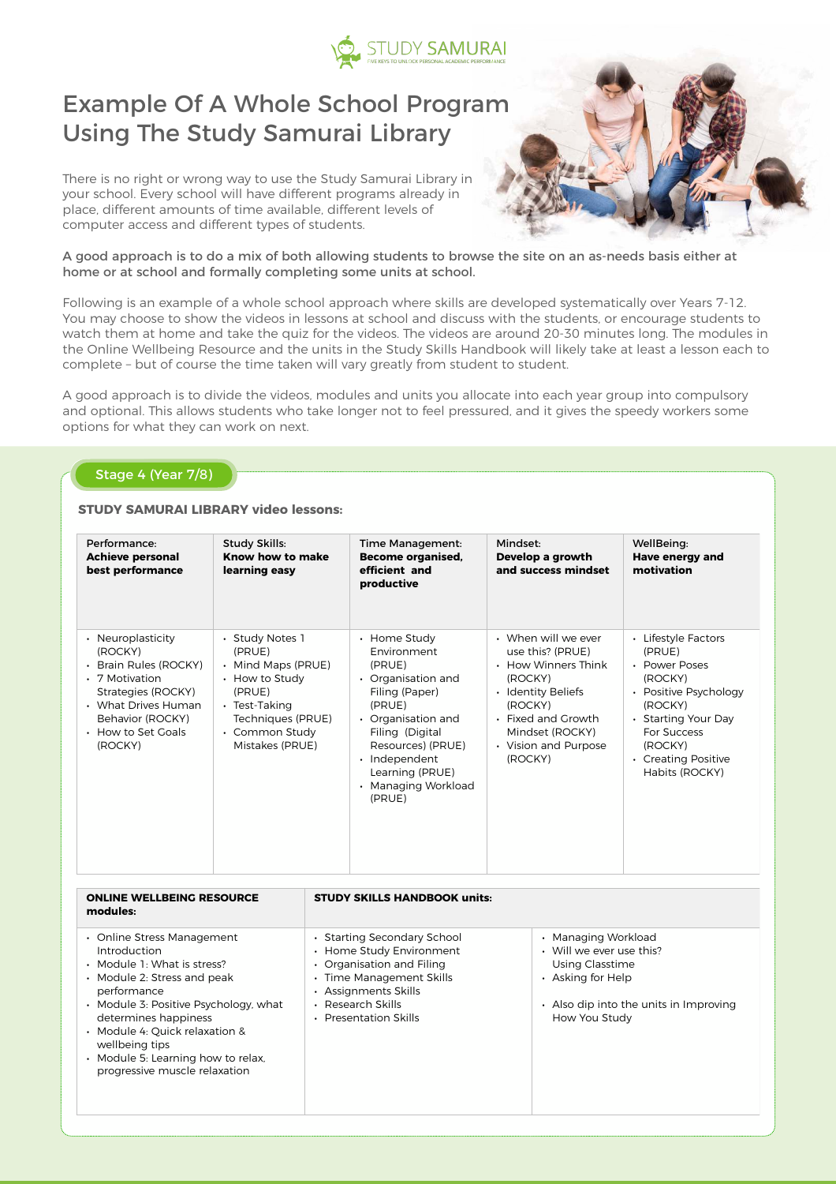

# Example Of A Whole School Program Using The Study Samurai Library

There is no right or wrong way to use the Study Samurai Library in your school. Every school will have different programs already in place, different amounts of time available, different levels of computer access and different types of students.



A good approach is to do a mix of both allowing students to browse the site on an as-needs basis either at home or at school and formally completing some units at school.

Following is an example of a whole school approach where skills are developed systematically over Years 7-12. You may choose to show the videos in lessons at school and discuss with the students, or encourage students to watch them at home and take the quiz for the videos. The videos are around 20-30 minutes long. The modules in the Online Wellbeing Resource and the units in the Study Skills Handbook will likely take at least a lesson each to complete – but of course the time taken will vary greatly from student to student.

A good approach is to divide the videos, modules and units you allocate into each year group into compulsory and optional. This allows students who take longer not to feel pressured, and it gives the speedy workers some options for what they can work on next.

| Stage 4 (Year 7/8)<br><b>STUDY SAMURAI LIBRARY video lessons:</b> |  |                                                           |                                                                                    |                                                     |                                                    |  |
|-------------------------------------------------------------------|--|-----------------------------------------------------------|------------------------------------------------------------------------------------|-----------------------------------------------------|----------------------------------------------------|--|
| Performance:<br><b>Achieve personal</b><br>best performance       |  | <b>Study Skills:</b><br>Know how to make<br>learning easy | <b>Time Management:</b><br><b>Become organised,</b><br>efficient and<br>productive | Mindset:<br>Develop a growth<br>and success mindset | WellBeing:<br><b>Have energy and</b><br>motivation |  |

| • Neuroplasticity<br>(ROCKY)<br>• Brain Rules (ROCKY)<br>• 7 Motivation<br>Strategies (ROCKY)<br>• What Drives Human<br>Behavior (ROCKY)<br>• How to Set Goals<br>(ROCKY) | · Study Notes 1<br>(PRUE)<br>• Mind Maps (PRUE)<br>• How to Study<br>(PRUE)<br>• Test-Taking<br>Techniques (PRUE)<br>• Common Study<br>Mistakes (PRUE) | • Home Study<br>Environment<br>(PRUE)<br>Organisation and<br>Filing (Paper)<br>(PRUE)<br>• Organisation and<br>Filing (Digital<br>Resources) (PRUE)<br>Independent<br>$\bullet$<br>Learning (PRUE)<br><b>Managing Workload</b><br>(PRUE) | • When will we ever<br>use this? (PRUE)<br>• How Winners Think<br>(ROCKY)<br>• Identity Beliefs<br>(ROCKY)<br>• Fixed and Growth<br>Mindset (ROCKY)<br>• Vision and Purpose<br>(ROCKY) | • Lifestyle Factors<br>(PRUE)<br>• Power Poses<br>(ROCKY)<br>• Positive Psychology<br>(ROCKY)<br>• Starting Your Day<br>For Success<br>(ROCKY)<br>• Creating Positive<br>Habits (ROCKY) |  |
|---------------------------------------------------------------------------------------------------------------------------------------------------------------------------|--------------------------------------------------------------------------------------------------------------------------------------------------------|------------------------------------------------------------------------------------------------------------------------------------------------------------------------------------------------------------------------------------------|----------------------------------------------------------------------------------------------------------------------------------------------------------------------------------------|-----------------------------------------------------------------------------------------------------------------------------------------------------------------------------------------|--|
|---------------------------------------------------------------------------------------------------------------------------------------------------------------------------|--------------------------------------------------------------------------------------------------------------------------------------------------------|------------------------------------------------------------------------------------------------------------------------------------------------------------------------------------------------------------------------------------------|----------------------------------------------------------------------------------------------------------------------------------------------------------------------------------------|-----------------------------------------------------------------------------------------------------------------------------------------------------------------------------------------|--|

| <b>ONLINE WELLBEING RESOURCE</b><br>modules:                                                                                                                                                                                                                                                                        | <b>STUDY SKILLS HANDBOOK units:</b>                                                                                                                                                    |                                                                                                                                                           |
|---------------------------------------------------------------------------------------------------------------------------------------------------------------------------------------------------------------------------------------------------------------------------------------------------------------------|----------------------------------------------------------------------------------------------------------------------------------------------------------------------------------------|-----------------------------------------------------------------------------------------------------------------------------------------------------------|
| • Online Stress Management<br>Introduction<br>• Module 1: What is stress?<br>• Module 2: Stress and peak<br>performance<br>• Module 3: Positive Psychology, what<br>determines happiness<br>· Module 4: Quick relaxation &<br>wellbeing tips<br>• Module 5: Learning how to relax,<br>progressive muscle relaxation | • Starting Secondary School<br>• Home Study Environment<br>• Organisation and Filing<br>• Time Management Skills<br>• Assignments Skills<br>• Research Skills<br>• Presentation Skills | • Managing Workload<br>• Will we ever use this?<br><b>Using Classtime</b><br>• Asking for Help<br>• Also dip into the units in Improving<br>How You Study |